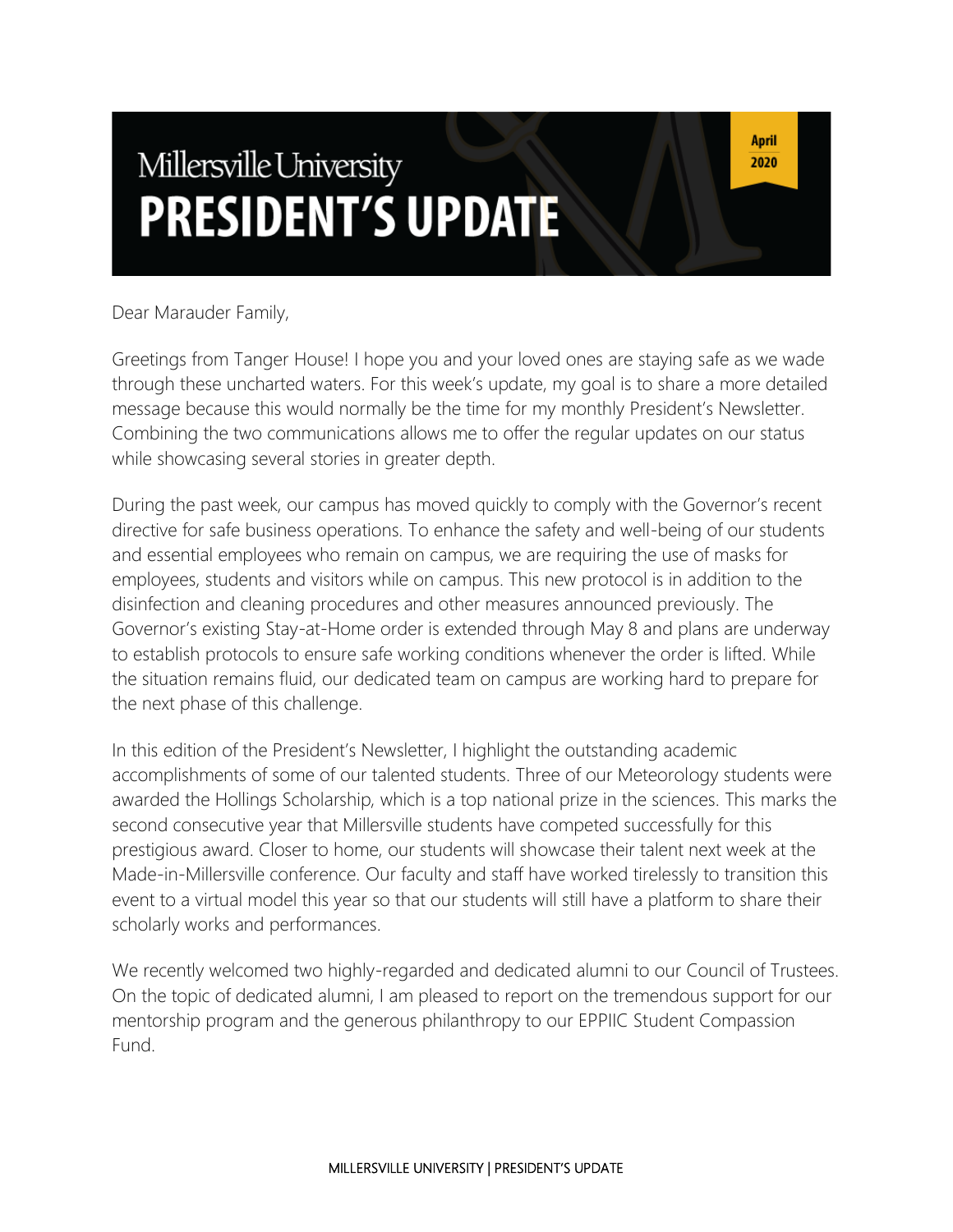# Millersville University **PRESIDENT'S UPDATE**

**April** 2020

Dear Marauder Family,

Greetings from Tanger House! I hope you and your loved ones are staying safe as we wade through these uncharted waters. For this week's update, my goal is to share a more detailed message because this would normally be the time for my monthly President's Newsletter. Combining the two communications allows me to offer the regular updates on our status while showcasing several stories in greater depth.

During the past week, our campus has moved quickly to comply with the Governor's recent directive for safe business operations. To enhance the safety and well-being of our students and essential employees who remain on campus, we are requiring the use of masks for employees, students and visitors while on campus. This new protocol is in addition to the disinfection and cleaning procedures and other measures announced previously. The Governor's existing Stay-at-Home order is extended through May 8 and plans are underway to establish protocols to ensure safe working conditions whenever the order is lifted. While the situation remains fluid, our dedicated team on campus are working hard to prepare for the next phase of this challenge.

In this edition of the President's Newsletter, I highlight the outstanding academic accomplishments of some of our talented students. Three of our Meteorology students were awarded the Hollings Scholarship, which is a top national prize in the sciences. This marks the second consecutive year that Millersville students have competed successfully for this prestigious award. Closer to home, our students will showcase their talent next week at the Made-in-Millersville conference. Our faculty and staff have worked tirelessly to transition this event to a virtual model this year so that our students will still have a platform to share their scholarly works and performances.

We recently welcomed two highly-regarded and dedicated alumni to our Council of Trustees. On the topic of dedicated alumni, I am pleased to report on the tremendous support for our mentorship program and the generous philanthropy to our EPPIIC Student Compassion Fund.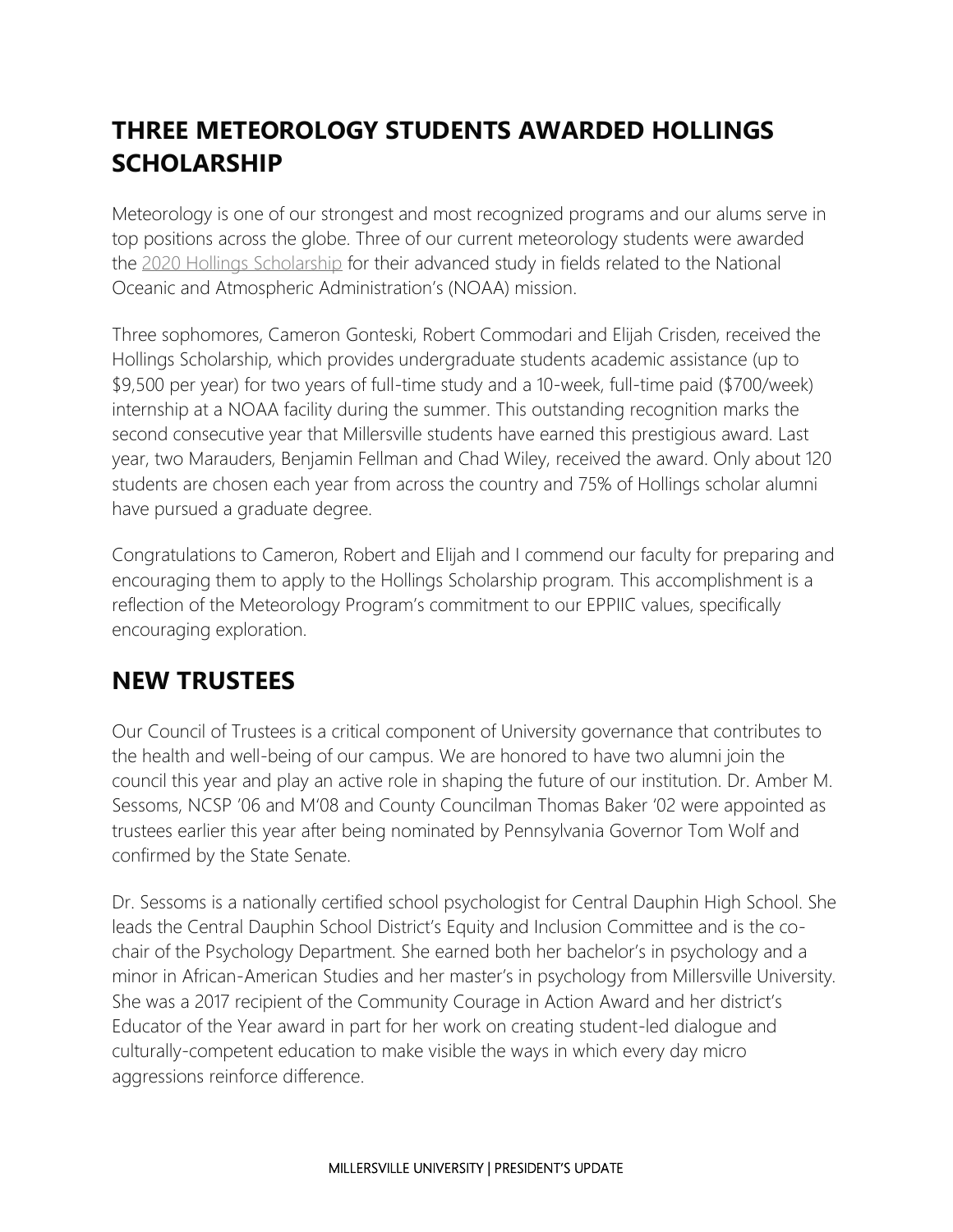# **THREE METEOROLOGY STUDENTS AWARDED HOLLINGS SCHOLARSHIP**

Meteorology is one of our strongest and most recognized programs and our alums serve in top positions across the globe. Three of our current meteorology students were awarded the [2020 Hollings Scholarship](https://www.noaa.gov/office-education/hollings-scholarship) for their advanced study in fields related to the National Oceanic and Atmospheric Administration's (NOAA) mission.

Three sophomores, Cameron Gonteski, Robert Commodari and Elijah Crisden, received the Hollings Scholarship, which provides undergraduate students academic assistance (up to \$9,500 per year) for two years of full-time study and a 10-week, full-time paid (\$700/week) internship at a NOAA facility during the summer. This outstanding recognition marks the second consecutive year that Millersville students have earned this prestigious award. Last year, two Marauders, Benjamin Fellman and Chad Wiley, received the award. Only about 120 students are chosen each year from across the country and 75% of Hollings scholar alumni have pursued a graduate degree.

Congratulations to Cameron, Robert and Elijah and I commend our faculty for preparing and encouraging them to apply to the Hollings Scholarship program. This accomplishment is a reflection of the Meteorology Program's commitment to our EPPIIC values, specifically encouraging exploration.

#### **NEW TRUSTEES**

Our Council of Trustees is a critical component of University governance that contributes to the health and well-being of our campus. We are honored to have two alumni join the council this year and play an active role in shaping the future of our institution. Dr. Amber M. Sessoms, NCSP '06 and M'08 and County Councilman Thomas Baker '02 were appointed as trustees earlier this year after being nominated by Pennsylvania Governor Tom Wolf and confirmed by the State Senate.

Dr. Sessoms is a nationally certified school psychologist for Central Dauphin High School. She leads the Central Dauphin School District's Equity and Inclusion Committee and is the cochair of the Psychology Department. She earned both her bachelor's in psychology and a minor in African-American Studies and her master's in psychology from Millersville University. She was a 2017 recipient of the Community Courage in Action Award and her district's Educator of the Year award in part for her work on creating student-led dialogue and culturally-competent education to make visible the ways in which every day micro aggressions reinforce difference.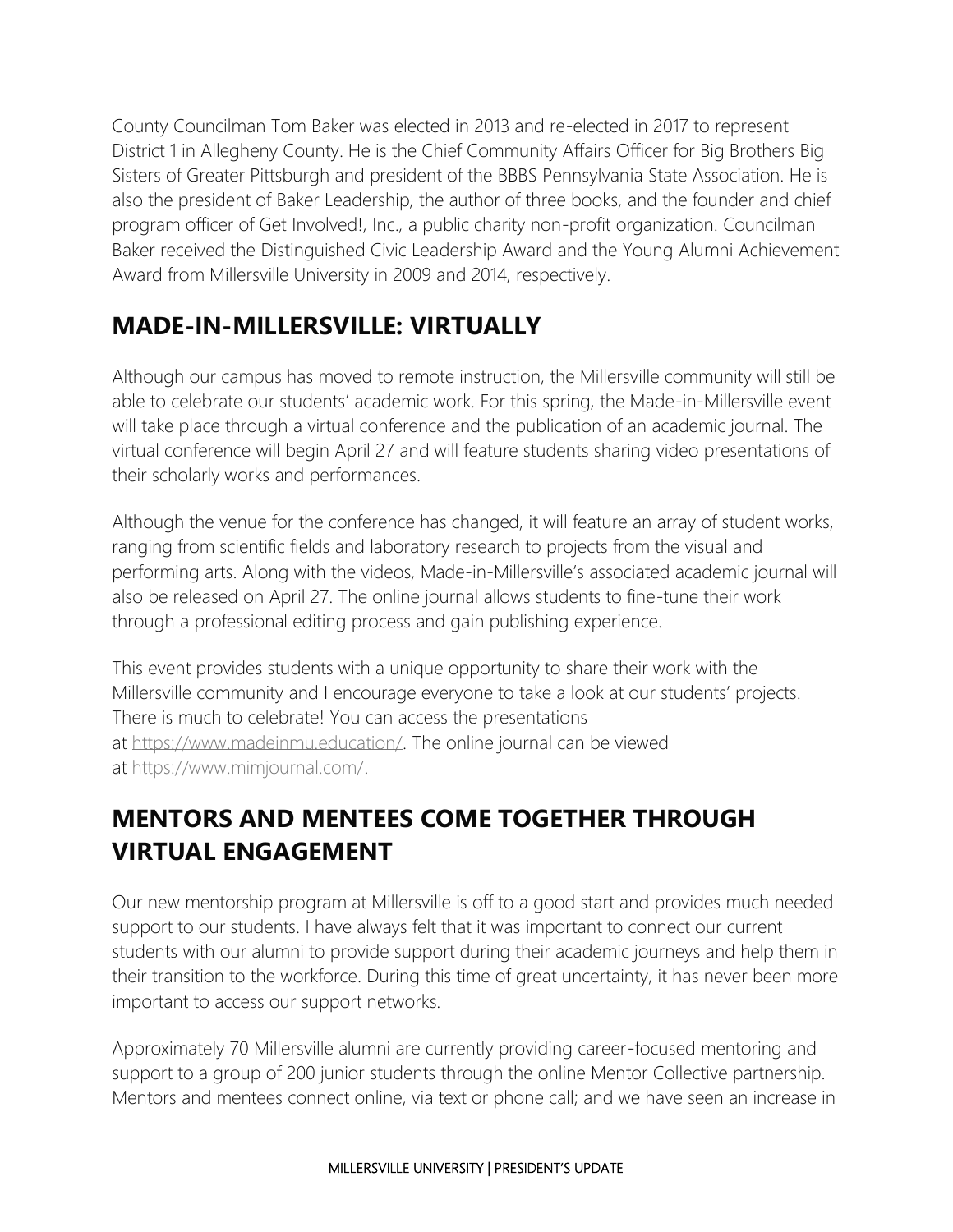County Councilman Tom Baker was elected in 2013 and re-elected in 2017 to represent District 1 in Allegheny County. He is the Chief Community Affairs Officer for Big Brothers Big Sisters of Greater Pittsburgh and president of the BBBS Pennsylvania State Association. He is also the president of Baker Leadership, the author of three books, and the founder and chief program officer of Get Involved!, Inc., a public charity non-profit organization. Councilman Baker received the Distinguished Civic Leadership Award and the Young Alumni Achievement Award from Millersville University in 2009 and 2014, respectively.

### **MADE-IN-MILLERSVILLE: VIRTUALLY**

Although our campus has moved to remote instruction, the Millersville community will still be able to celebrate our students' academic work. For this spring, the Made-in-Millersville event will take place through a virtual conference and the publication of an academic journal. The virtual conference will begin April 27 and will feature students sharing video presentations of their scholarly works and performances.

Although the venue for the conference has changed, it will feature an array of student works, ranging from scientific fields and laboratory research to projects from the visual and performing arts. Along with the videos, Made-in-Millersville's associated academic journal will also be released on April 27. The online journal allows students to fine-tune their work through a professional editing process and gain publishing experience.

This event provides students with a unique opportunity to share their work with the Millersville community and I encourage everyone to take a look at our students' projects. There is much to celebrate! You can access the presentations at [https://www.madeinmu.education/.](https://www.madeinmu.education/) The online journal can be viewed at [https://www.mimjournal.com/.](https://www.mimjournal.com/)

# **MENTORS AND MENTEES COME TOGETHER THROUGH VIRTUAL ENGAGEMENT**

Our new mentorship program at Millersville is off to a good start and provides much needed support to our students. I have always felt that it was important to connect our current students with our alumni to provide support during their academic journeys and help them in their transition to the workforce. During this time of great uncertainty, it has never been more important to access our support networks.

Approximately 70 Millersville alumni are currently providing career-focused mentoring and support to a group of 200 junior students through the online Mentor Collective partnership. Mentors and mentees connect online, via text or phone call; and we have seen an increase in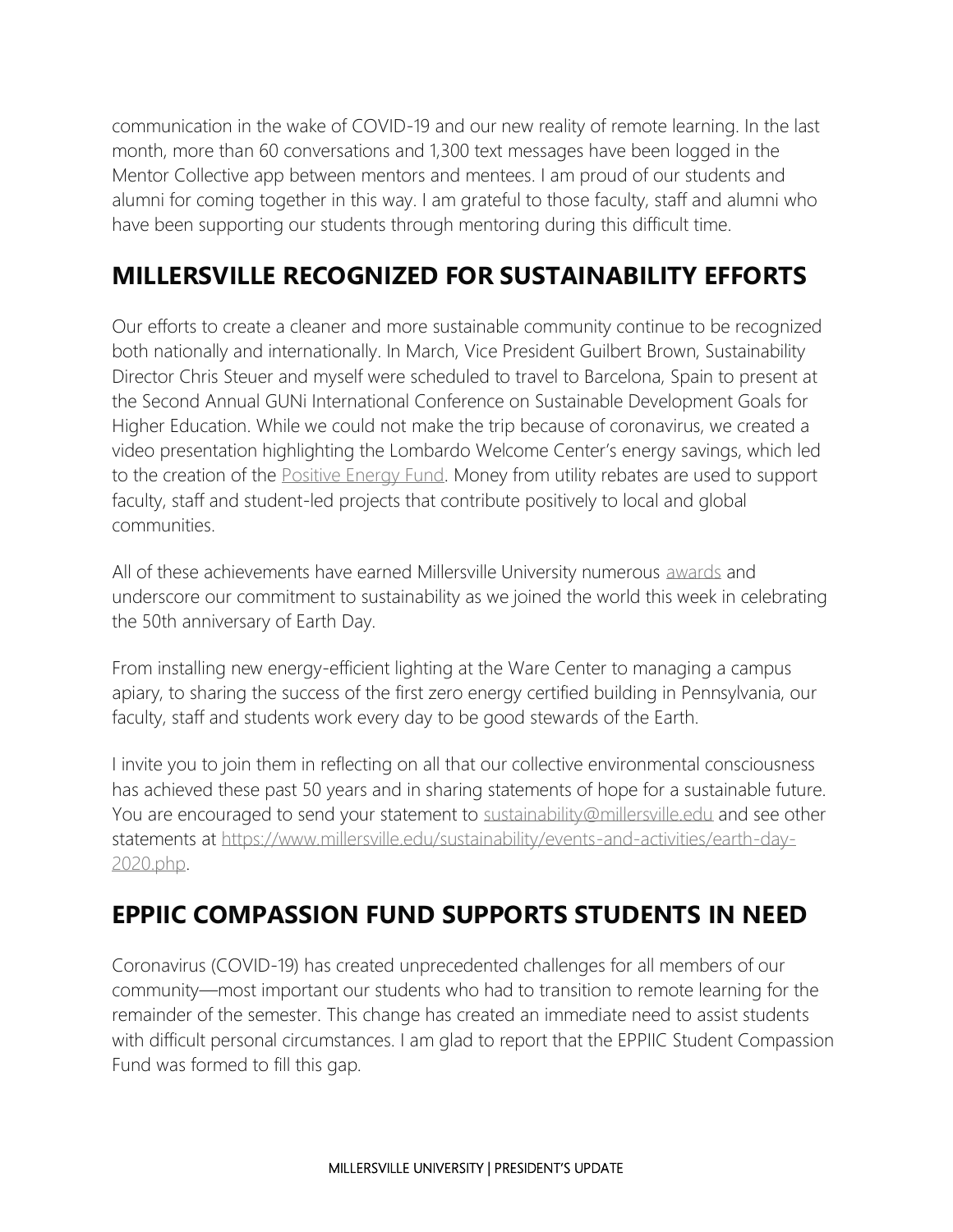communication in the wake of COVID-19 and our new reality of remote learning. In the last month, more than 60 conversations and 1,300 text messages have been logged in the Mentor Collective app between mentors and mentees. I am proud of our students and alumni for coming together in this way. I am grateful to those faculty, staff and alumni who have been supporting our students through mentoring during this difficult time.

### **MILLERSVILLE RECOGNIZED FOR SUSTAINABILITY EFFORTS**

Our efforts to create a cleaner and more sustainable community continue to be recognized both nationally and internationally. In March, Vice President Guilbert Brown, Sustainability Director Chris Steuer and myself were scheduled to travel to Barcelona, Spain to present at the Second Annual GUNi International Conference on Sustainable Development Goals for Higher Education. While we could not make the trip because of coronavirus, we created a video presentation highlighting the Lombardo Welcome Center's energy savings, which led to the creation of the [Positive Energy Fund.](https://www.millersville.edu/sustainability/global_goals/positive-energy-fund.php) Money from utility rebates are used to support faculty, staff and student-led projects that contribute positively to local and global communities.

All of these achievements have earned Millersville University numerous [awards](https://www.millersville.edu/sustainability/awards-and-recognition/index.php) and underscore our commitment to sustainability as we joined the world this week in celebrating the 50th anniversary of Earth Day.

From installing new energy-efficient lighting at the Ware Center to managing a campus apiary, to sharing the success of the first zero energy certified building in Pennsylvania, our faculty, staff and students work every day to be good stewards of the Earth.

I invite you to join them in reflecting on all that our collective environmental consciousness has achieved these past 50 years and in sharing statements of hope for a sustainable future. You are encouraged to send your statement to [sustainability@millersville.edu](mailto:sustainability@millersville.edu) and see other statements at [https://www.millersville.edu/sustainability/events-and-activities/earth-day-](https://www.millersville.edu/sustainability/events-and-activities/earth-day-2020.php)[2020.php.](https://www.millersville.edu/sustainability/events-and-activities/earth-day-2020.php)

#### **EPPIIC COMPASSION FUND SUPPORTS STUDENTS IN NEED**

Coronavirus (COVID-19) has created unprecedented challenges for all members of our community—most important our students who had to transition to remote learning for the remainder of the semester. This change has created an immediate need to assist students with difficult personal circumstances. I am glad to report that the EPPIIC Student Compassion Fund was formed to fill this gap.